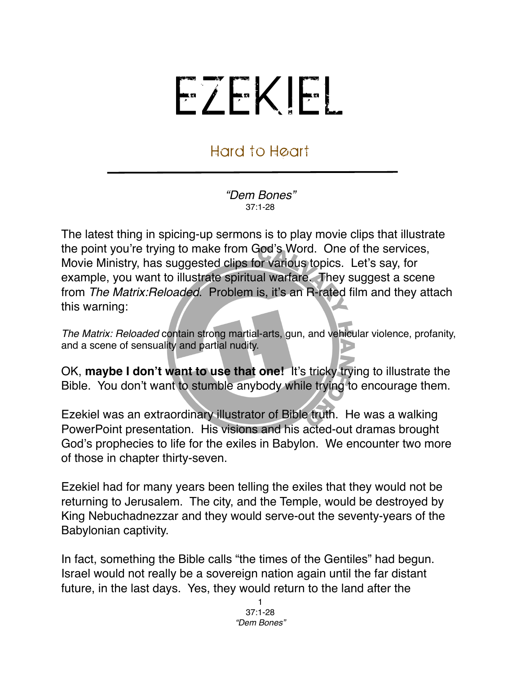## EZEKIEL

## Hard to Heart

*"Dem Bones"* 37:1-28

The latest thing in spicing-up sermons is to play movie clips that illustrate the point you're trying to make from God's Word. One of the services, Movie Ministry, has suggested clips for various topics. Let's say, for example, you want to illustrate spiritual warfare. They suggest a scene from *The Matrix:Reloaded*. Problem is, it's an R-rated film and they attach this warning:

*The Matrix: Reloaded* contain strong martial-arts, gun, and vehicular violence, profanity, and a scene of sensuality and partial nudity.

OK, **maybe I don't want to use that one!** It's tricky trying to illustrate the Bible. You don't want to stumble anybody while trying to encourage them.

Ezekiel was an extraordinary illustrator of Bible truth. He was a walking PowerPoint presentation. His visions and his acted-out dramas brought God's prophecies to life for the exiles in Babylon. We encounter two more of those in chapter thirty-seven.

Ezekiel had for many years been telling the exiles that they would not be returning to Jerusalem. The city, and the Temple, would be destroyed by King Nebuchadnezzar and they would serve-out the seventy-years of the Babylonian captivity.

In fact, something the Bible calls "the times of the Gentiles" had begun. Israel would not really be a sovereign nation again until the far distant future, in the last days. Yes, they would return to the land after the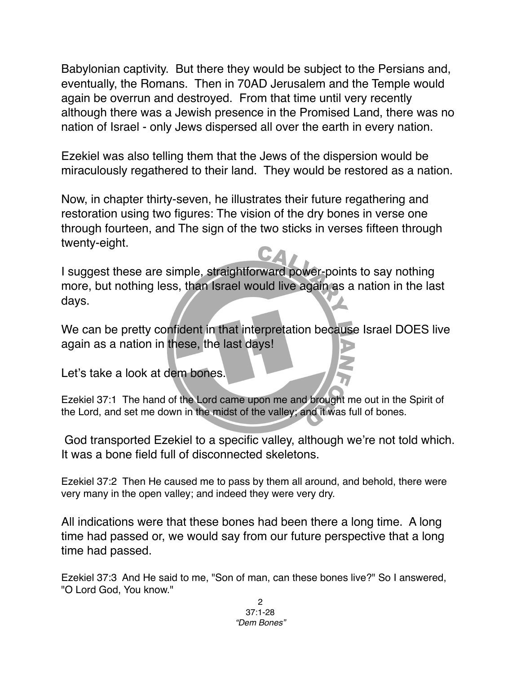Babylonian captivity. But there they would be subject to the Persians and, eventually, the Romans. Then in 70AD Jerusalem and the Temple would again be overrun and destroyed. From that time until very recently although there was a Jewish presence in the Promised Land, there was no nation of Israel - only Jews dispersed all over the earth in every nation.

Ezekiel was also telling them that the Jews of the dispersion would be miraculously regathered to their land. They would be restored as a nation.

Now, in chapter thirty-seven, he illustrates their future regathering and restoration using two figures: The vision of the dry bones in verse one through fourteen, and The sign of the two sticks in verses fifteen through twenty-eight.

I suggest these are simple, straightforward power-points to say nothing more, but nothing less, than Israel would live again as a nation in the last days.

We can be pretty confident in that interpretation because Israel DOES live again as a nation in these, the last days!

Let's take a look at dem bones.

Ezekiel 37:1 The hand of the Lord came upon me and brought me out in the Spirit of the Lord, and set me down in the midst of the valley; and it was full of bones.

 God transported Ezekiel to a specific valley, although we're not told which. It was a bone field full of disconnected skeletons.

Ezekiel 37:2 Then He caused me to pass by them all around, and behold, there were very many in the open valley; and indeed they were very dry.

All indications were that these bones had been there a long time. A long time had passed or, we would say from our future perspective that a long time had passed.

Ezekiel 37:3 And He said to me, "Son of man, can these bones live?" So I answered, "O Lord God, You know."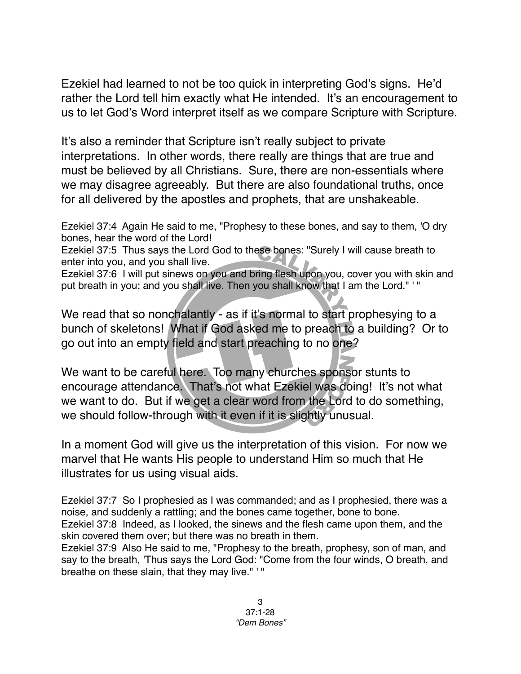Ezekiel had learned to not be too quick in interpreting God's signs. He'd rather the Lord tell him exactly what He intended. It's an encouragement to us to let God's Word interpret itself as we compare Scripture with Scripture.

It's also a reminder that Scripture isn't really subject to private interpretations. In other words, there really are things that are true and must be believed by all Christians. Sure, there are non-essentials where we may disagree agreeably. But there are also foundational truths, once for all delivered by the apostles and prophets, that are unshakeable.

Ezekiel 37:4 Again He said to me, "Prophesy to these bones, and say to them, 'O dry bones, hear the word of the Lord!

Ezekiel 37:5 Thus says the Lord God to these bones: "Surely I will cause breath to enter into you, and you shall live.

Ezekiel 37:6 I will put sinews on you and bring flesh upon you, cover you with skin and put breath in you; and you shall live. Then you shall know that I am the Lord." '"

We read that so nonchalantly - as if it's normal to start prophesying to a bunch of skeletons! What if God asked me to preach to a building? Or to go out into an empty field and start preaching to no one?

We want to be careful here. Too many churches sponsor stunts to encourage attendance. That's not what Ezekiel was doing! It's not what we want to do. But if we get a clear word from the Lord to do something, we should follow-through with it even if it is slightly unusual.

In a moment God will give us the interpretation of this vision. For now we marvel that He wants His people to understand Him so much that He illustrates for us using visual aids.

Ezekiel 37:7 So I prophesied as I was commanded; and as I prophesied, there was a noise, and suddenly a rattling; and the bones came together, bone to bone. Ezekiel 37:8 Indeed, as I looked, the sinews and the flesh came upon them, and the skin covered them over; but there was no breath in them.

Ezekiel 37:9 Also He said to me, "Prophesy to the breath, prophesy, son of man, and say to the breath, 'Thus says the Lord God: "Come from the four winds, O breath, and breathe on these slain, that they may live." ' "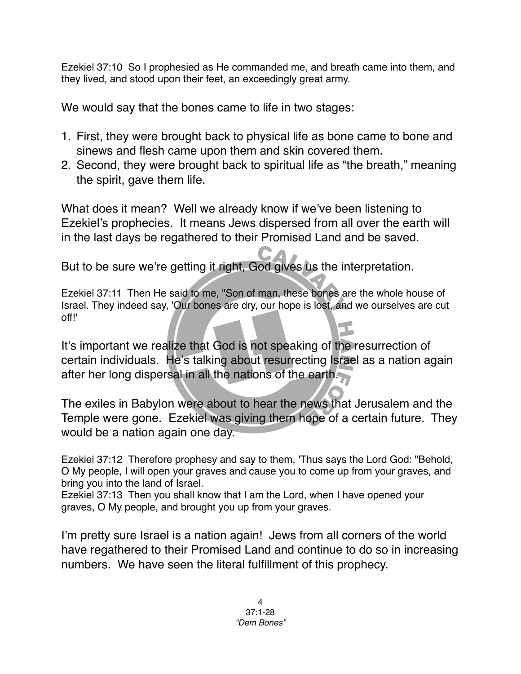Ezekiel 37:10 So I prophesied as He commanded me, and breath came into them, and they lived, and stood upon their feet, an exceedingly great army.

We would say that the bones came to life in two stages:

- 1. First, they were brought back to physical life as bone came to bone and sinews and flesh came upon them and skin covered them.
- 2. Second, they were brought back to spiritual life as "the breath," meaning the spirit, gave them life.

What does it mean? Well we already know if we've been listening to Ezekiel's prophecies. It means Jews dispersed from all over the earth will in the last days be regathered to their Promised Land and be saved.

But to be sure we're getting it right, God gives us the interpretation.

Ezekiel 37:11 Then He said to me, "Son of man, these bones are the whole house of Israel. They indeed say, 'Our bones are dry, our hope is lost, and we ourselves are cut off!'

It's important we realize that God is not speaking of the resurrection of certain individuals. He's talking about resurrecting Israel as a nation again after her long dispersal in all the nations of the earth.

The exiles in Babylon were about to hear the news that Jerusalem and the Temple were gone. Ezekiel was giving them hope of a certain future. They would be a nation again one day.

Ezekiel 37:12 Therefore prophesy and say to them, 'Thus says the Lord God: "Behold, O My people, I will open your graves and cause you to come up from your graves, and bring you into the land of Israel.

Ezekiel 37:13 Then you shall know that I am the Lord, when I have opened your graves, O My people, and brought you up from your graves.

I'm pretty sure Israel is a nation again! Jews from all corners of the world have regathered to their Promised Land and continue to do so in increasing numbers. We have seen the literal fulfillment of this prophecy.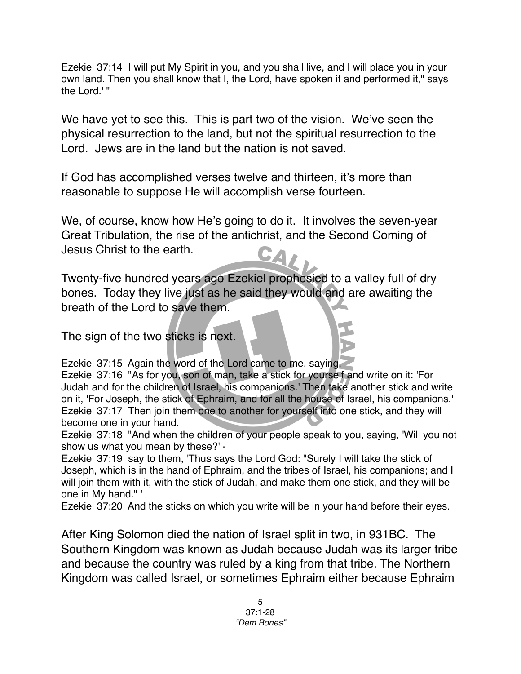Ezekiel 37:14 I will put My Spirit in you, and you shall live, and I will place you in your own land. Then you shall know that I, the Lord, have spoken it and performed it," says the Lord.' "

We have yet to see this. This is part two of the vision. We've seen the physical resurrection to the land, but not the spiritual resurrection to the Lord. Jews are in the land but the nation is not saved.

If God has accomplished verses twelve and thirteen, it's more than reasonable to suppose He will accomplish verse fourteen.

We, of course, know how He's going to do it. It involves the seven-year Great Tribulation, the rise of the antichrist, and the Second Coming of Jesus Christ to the earth. 5.

Twenty-five hundred years ago Ezekiel prophesied to a valley full of dry bones. Today they live just as he said they would and are awaiting the breath of the Lord to save them.

The sign of the two sticks is next.

Ezekiel 37:15 Again the word of the Lord came to me, saying,

Ezekiel 37:16 "As for you, son of man, take a stick for yourself and write on it: 'For Judah and for the children of Israel, his companions.' Then take another stick and write on it, 'For Joseph, the stick of Ephraim, and for all the house of Israel, his companions.' Ezekiel 37:17 Then join them one to another for yourself into one stick, and they will become one in your hand.

Ezekiel 37:18 "And when the children of your people speak to you, saying, 'Will you not show us what you mean by these?' -

Ezekiel 37:19 say to them, 'Thus says the Lord God: "Surely I will take the stick of Joseph, which is in the hand of Ephraim, and the tribes of Israel, his companions; and I will join them with it, with the stick of Judah, and make them one stick, and they will be one in My hand." '

Ezekiel 37:20 And the sticks on which you write will be in your hand before their eyes.

After King Solomon died the nation of Israel split in two, in 931BC. The Southern Kingdom was known as Judah because Judah was its larger tribe and because the country was ruled by a king from that tribe. The Northern Kingdom was called Israel, or sometimes Ephraim either because Ephraim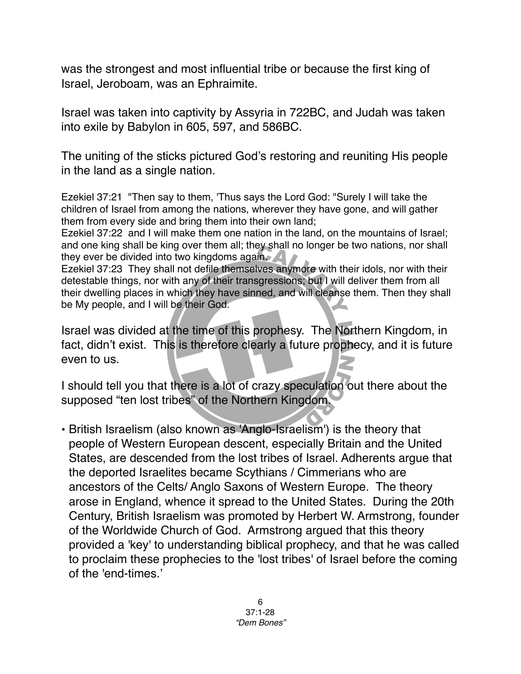was the strongest and most influential tribe or because the first king of Israel, Jeroboam, was an Ephraimite.

Israel was taken into captivity by Assyria in 722BC, and Judah was taken into exile by Babylon in 605, 597, and 586BC.

The uniting of the sticks pictured God's restoring and reuniting His people in the land as a single nation.

Ezekiel 37:21 "Then say to them, 'Thus says the Lord God: "Surely I will take the children of Israel from among the nations, wherever they have gone, and will gather them from every side and bring them into their own land;

Ezekiel 37:22 and I will make them one nation in the land, on the mountains of Israel; and one king shall be king over them all; they shall no longer be two nations, nor shall they ever be divided into two kingdoms again.

Ezekiel 37:23 They shall not defile themselves anymore with their idols, nor with their detestable things, nor with any of their transgressions; but I will deliver them from all their dwelling places in which they have sinned, and will cleanse them. Then they shall be My people, and I will be their God.

Israel was divided at the time of this prophesy. The Northern Kingdom, in fact, didn't exist. This is therefore clearly a future prophecy, and it is future even to us.

I should tell you that there is a lot of crazy speculation out there about the supposed "ten lost tribes" of the Northern Kingdom.

• British Israelism (also known as 'Anglo-Israelism') is the theory that people of Western European descent, especially Britain and the United States, are descended from the lost tribes of Israel. Adherents argue that the deported Israelites became Scythians / Cimmerians who are ancestors of the Celts/ Anglo Saxons of Western Europe. The theory arose in England, whence it spread to the United States. During the 20th Century, British Israelism was promoted by Herbert W. Armstrong, founder of the Worldwide Church of God. Armstrong argued that this theory provided a 'key' to understanding biblical prophecy, and that he was called to proclaim these prophecies to the 'lost tribes' of Israel before the coming of the 'end-times.'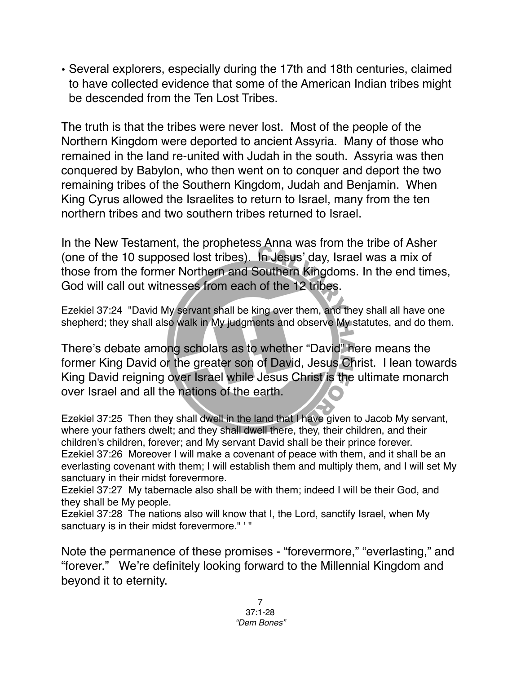• Several explorers, especially during the 17th and 18th centuries, claimed to have collected evidence that some of the American Indian tribes might be descended from the Ten Lost Tribes.

The truth is that the tribes were never lost. Most of the people of the Northern Kingdom were deported to ancient Assyria. Many of those who remained in the land re-united with Judah in the south. Assyria was then conquered by Babylon, who then went on to conquer and deport the two remaining tribes of the Southern Kingdom, Judah and Benjamin. When King Cyrus allowed the Israelites to return to Israel, many from the ten northern tribes and two southern tribes returned to Israel.

In the New Testament, the prophetess Anna was from the tribe of Asher (one of the 10 supposed lost tribes). In Jesus' day, Israel was a mix of those from the former Northern and Southern Kingdoms. In the end times, God will call out witnesses from each of the 12 tribes.

Ezekiel 37:24 "David My servant shall be king over them, and they shall all have one shepherd; they shall also walk in My judgments and observe My statutes, and do them.

There's debate among scholars as to whether "David" here means the former King David or the greater son of David, Jesus Christ. I lean towards King David reigning over Israel while Jesus Christ is the ultimate monarch over Israel and all the nations of the earth.

Ezekiel 37:25 Then they shall dwell in the land that I have given to Jacob My servant, where your fathers dwelt; and they shall dwell there, they, their children, and their children's children, forever; and My servant David shall be their prince forever. Ezekiel 37:26 Moreover I will make a covenant of peace with them, and it shall be an everlasting covenant with them; I will establish them and multiply them, and I will set My sanctuary in their midst forevermore.

Ezekiel 37:27 My tabernacle also shall be with them; indeed I will be their God, and they shall be My people.

Ezekiel 37:28 The nations also will know that I, the Lord, sanctify Israel, when My sanctuary is in their midst forevermore." ' "

Note the permanence of these promises - "forevermore," "everlasting," and "forever." We're definitely looking forward to the Millennial Kingdom and beyond it to eternity.